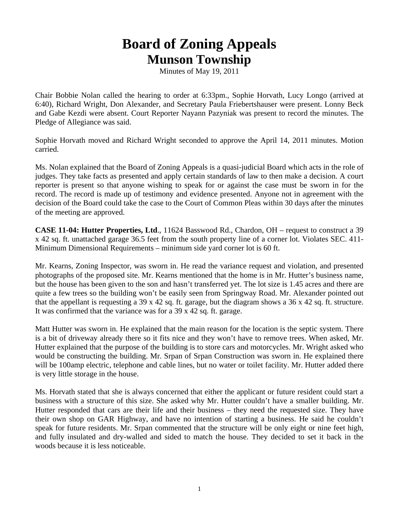## **Board of Zoning Appeals Munson Township**

Minutes of May 19, 2011

Chair Bobbie Nolan called the hearing to order at 6:33pm., Sophie Horvath, Lucy Longo (arrived at 6:40), Richard Wright, Don Alexander, and Secretary Paula Friebertshauser were present. Lonny Beck and Gabe Kezdi were absent. Court Reporter Nayann Pazyniak was present to record the minutes. The Pledge of Allegiance was said.

Sophie Horvath moved and Richard Wright seconded to approve the April 14, 2011 minutes. Motion carried.

Ms. Nolan explained that the Board of Zoning Appeals is a quasi-judicial Board which acts in the role of judges. They take facts as presented and apply certain standards of law to then make a decision. A court reporter is present so that anyone wishing to speak for or against the case must be sworn in for the record. The record is made up of testimony and evidence presented. Anyone not in agreement with the decision of the Board could take the case to the Court of Common Pleas within 30 days after the minutes of the meeting are approved.

**CASE 11-04: Hutter Properties, Ltd**., 11624 Basswood Rd., Chardon, OH – request to construct a 39 x 42 sq. ft. unattached garage 36.5 feet from the south property line of a corner lot. Violates SEC. 411- Minimum Dimensional Requirements – minimum side yard corner lot is 60 ft.

Mr. Kearns, Zoning Inspector, was sworn in. He read the variance request and violation, and presented photographs of the proposed site. Mr. Kearns mentioned that the home is in Mr. Hutter's business name, but the house has been given to the son and hasn't transferred yet. The lot size is 1.45 acres and there are quite a few trees so the building won't be easily seen from Springway Road. Mr. Alexander pointed out that the appellant is requesting a 39 x 42 sq. ft. garage, but the diagram shows a 36 x 42 sq. ft. structure. It was confirmed that the variance was for a 39 x 42 sq. ft. garage.

Matt Hutter was sworn in. He explained that the main reason for the location is the septic system. There is a bit of driveway already there so it fits nice and they won't have to remove trees. When asked, Mr. Hutter explained that the purpose of the building is to store cars and motorcycles. Mr. Wright asked who would be constructing the building. Mr. Srpan of Srpan Construction was sworn in. He explained there will be 100amp electric, telephone and cable lines, but no water or toilet facility. Mr. Hutter added there is very little storage in the house.

Ms. Horvath stated that she is always concerned that either the applicant or future resident could start a business with a structure of this size. She asked why Mr. Hutter couldn't have a smaller building. Mr. Hutter responded that cars are their life and their business – they need the requested size. They have their own shop on GAR Highway, and have no intention of starting a business. He said he couldn't speak for future residents. Mr. Srpan commented that the structure will be only eight or nine feet high, and fully insulated and dry-walled and sided to match the house. They decided to set it back in the woods because it is less noticeable.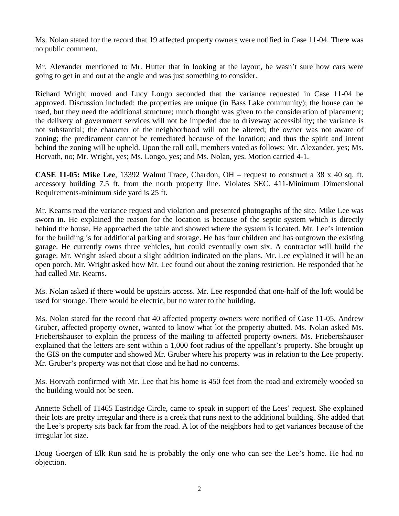Ms. Nolan stated for the record that 19 affected property owners were notified in Case 11-04. There was no public comment.

Mr. Alexander mentioned to Mr. Hutter that in looking at the layout, he wasn't sure how cars were going to get in and out at the angle and was just something to consider.

Richard Wright moved and Lucy Longo seconded that the variance requested in Case 11-04 be approved. Discussion included: the properties are unique (in Bass Lake community); the house can be used, but they need the additional structure; much thought was given to the consideration of placement; the delivery of government services will not be impeded due to driveway accessibility; the variance is not substantial; the character of the neighborhood will not be altered; the owner was not aware of zoning; the predicament cannot be remediated because of the location; and thus the spirit and intent behind the zoning will be upheld. Upon the roll call, members voted as follows: Mr. Alexander, yes; Ms. Horvath, no; Mr. Wright, yes; Ms. Longo, yes; and Ms. Nolan, yes. Motion carried 4-1.

**CASE 11-05: Mike Lee**, 13392 Walnut Trace, Chardon, OH – request to construct a 38 x 40 sq. ft. accessory building 7.5 ft. from the north property line. Violates SEC. 411-Minimum Dimensional Requirements-minimum side yard is 25 ft.

Mr. Kearns read the variance request and violation and presented photographs of the site. Mike Lee was sworn in. He explained the reason for the location is because of the septic system which is directly behind the house. He approached the table and showed where the system is located. Mr. Lee's intention for the building is for additional parking and storage. He has four children and has outgrown the existing garage. He currently owns three vehicles, but could eventually own six. A contractor will build the garage. Mr. Wright asked about a slight addition indicated on the plans. Mr. Lee explained it will be an open porch. Mr. Wright asked how Mr. Lee found out about the zoning restriction. He responded that he had called Mr. Kearns.

Ms. Nolan asked if there would be upstairs access. Mr. Lee responded that one-half of the loft would be used for storage. There would be electric, but no water to the building.

Ms. Nolan stated for the record that 40 affected property owners were notified of Case 11-05. Andrew Gruber, affected property owner, wanted to know what lot the property abutted. Ms. Nolan asked Ms. Friebertshauser to explain the process of the mailing to affected property owners. Ms. Friebertshauser explained that the letters are sent within a 1,000 foot radius of the appellant's property. She brought up the GIS on the computer and showed Mr. Gruber where his property was in relation to the Lee property. Mr. Gruber's property was not that close and he had no concerns.

Ms. Horvath confirmed with Mr. Lee that his home is 450 feet from the road and extremely wooded so the building would not be seen.

Annette Schell of 11465 Eastridge Circle, came to speak in support of the Lees' request. She explained their lots are pretty irregular and there is a creek that runs next to the additional building. She added that the Lee's property sits back far from the road. A lot of the neighbors had to get variances because of the irregular lot size.

Doug Goergen of Elk Run said he is probably the only one who can see the Lee's home. He had no objection.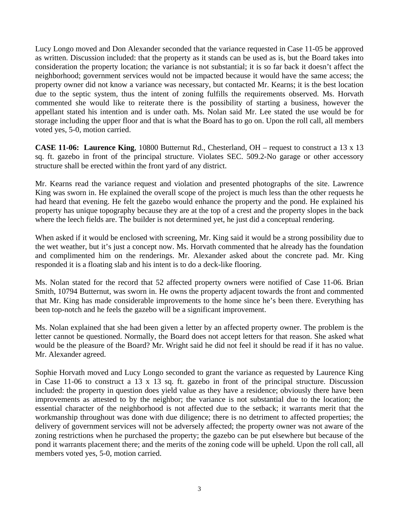Lucy Longo moved and Don Alexander seconded that the variance requested in Case 11-05 be approved as written. Discussion included: that the property as it stands can be used as is, but the Board takes into consideration the property location; the variance is not substantial; it is so far back it doesn't affect the neighborhood; government services would not be impacted because it would have the same access; the property owner did not know a variance was necessary, but contacted Mr. Kearns; it is the best location due to the septic system, thus the intent of zoning fulfills the requirements observed. Ms. Horvath commented she would like to reiterate there is the possibility of starting a business, however the appellant stated his intention and is under oath. Ms. Nolan said Mr. Lee stated the use would be for storage including the upper floor and that is what the Board has to go on. Upon the roll call, all members voted yes, 5-0, motion carried.

**CASE 11-06: Laurence King**, 10800 Butternut Rd., Chesterland, OH – request to construct a 13 x 13 sq. ft. gazebo in front of the principal structure. Violates SEC. 509.2-No garage or other accessory structure shall be erected within the front yard of any district.

Mr. Kearns read the variance request and violation and presented photographs of the site. Lawrence King was sworn in. He explained the overall scope of the project is much less than the other requests he had heard that evening. He felt the gazebo would enhance the property and the pond. He explained his property has unique topography because they are at the top of a crest and the property slopes in the back where the leech fields are. The builder is not determined yet, he just did a conceptual rendering.

When asked if it would be enclosed with screening, Mr. King said it would be a strong possibility due to the wet weather, but it's just a concept now. Ms. Horvath commented that he already has the foundation and complimented him on the renderings. Mr. Alexander asked about the concrete pad. Mr. King responded it is a floating slab and his intent is to do a deck-like flooring.

Ms. Nolan stated for the record that 52 affected property owners were notified of Case 11-06. Brian Smith, 10794 Butternut, was sworn in. He owns the property adjacent towards the front and commented that Mr. King has made considerable improvements to the home since he's been there. Everything has been top-notch and he feels the gazebo will be a significant improvement.

Ms. Nolan explained that she had been given a letter by an affected property owner. The problem is the letter cannot be questioned. Normally, the Board does not accept letters for that reason. She asked what would be the pleasure of the Board? Mr. Wright said he did not feel it should be read if it has no value. Mr. Alexander agreed.

Sophie Horvath moved and Lucy Longo seconded to grant the variance as requested by Laurence King in Case 11-06 to construct a 13 x 13 sq. ft. gazebo in front of the principal structure. Discussion included: the property in question does yield value as they have a residence; obviously there have been improvements as attested to by the neighbor; the variance is not substantial due to the location; the essential character of the neighborhood is not affected due to the setback; it warrants merit that the workmanship throughout was done with due diligence; there is no detriment to affected properties; the delivery of government services will not be adversely affected; the property owner was not aware of the zoning restrictions when he purchased the property; the gazebo can be put elsewhere but because of the pond it warrants placement there; and the merits of the zoning code will be upheld. Upon the roll call, all members voted yes, 5-0, motion carried.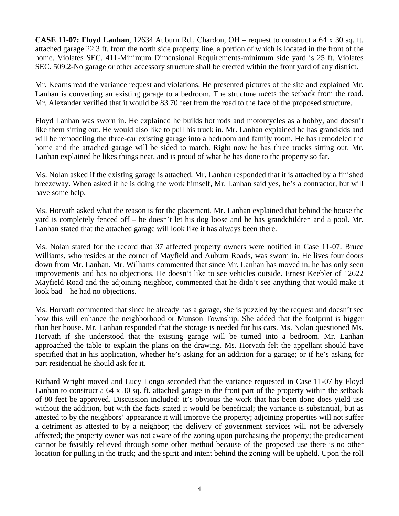**CASE 11-07: Floyd Lanhan**, 12634 Auburn Rd., Chardon, OH – request to construct a 64 x 30 sq. ft. attached garage 22.3 ft. from the north side property line, a portion of which is located in the front of the home. Violates SEC. 411-Minimum Dimensional Requirements-minimum side yard is 25 ft. Violates SEC. 509.2-No garage or other accessory structure shall be erected within the front yard of any district.

Mr. Kearns read the variance request and violations. He presented pictures of the site and explained Mr. Lanhan is converting an existing garage to a bedroom. The structure meets the setback from the road. Mr. Alexander verified that it would be 83.70 feet from the road to the face of the proposed structure.

Floyd Lanhan was sworn in. He explained he builds hot rods and motorcycles as a hobby, and doesn't like them sitting out. He would also like to pull his truck in. Mr. Lanhan explained he has grandkids and will be remodeling the three-car existing garage into a bedroom and family room. He has remodeled the home and the attached garage will be sided to match. Right now he has three trucks sitting out. Mr. Lanhan explained he likes things neat, and is proud of what he has done to the property so far.

Ms. Nolan asked if the existing garage is attached. Mr. Lanhan responded that it is attached by a finished breezeway. When asked if he is doing the work himself, Mr. Lanhan said yes, he's a contractor, but will have some help.

Ms. Horvath asked what the reason is for the placement. Mr. Lanhan explained that behind the house the yard is completely fenced off – he doesn't let his dog loose and he has grandchildren and a pool. Mr. Lanhan stated that the attached garage will look like it has always been there.

Ms. Nolan stated for the record that 37 affected property owners were notified in Case 11-07. Bruce Williams, who resides at the corner of Mayfield and Auburn Roads, was sworn in. He lives four doors down from Mr. Lanhan. Mr. Williams commented that since Mr. Lanhan has moved in, he has only seen improvements and has no objections. He doesn't like to see vehicles outside. Ernest Keebler of 12622 Mayfield Road and the adjoining neighbor, commented that he didn't see anything that would make it look bad – he had no objections.

Ms. Horvath commented that since he already has a garage, she is puzzled by the request and doesn't see how this will enhance the neighborhood or Munson Township. She added that the footprint is bigger than her house. Mr. Lanhan responded that the storage is needed for his cars. Ms. Nolan questioned Ms. Horvath if she understood that the existing garage will be turned into a bedroom. Mr. Lanhan approached the table to explain the plans on the drawing. Ms. Horvath felt the appellant should have specified that in his application, whether he's asking for an addition for a garage; or if he's asking for part residential he should ask for it.

Richard Wright moved and Lucy Longo seconded that the variance requested in Case 11-07 by Floyd Lanhan to construct a 64 x 30 sq. ft. attached garage in the front part of the property within the setback of 80 feet be approved. Discussion included: it's obvious the work that has been done does yield use without the addition, but with the facts stated it would be beneficial; the variance is substantial, but as attested to by the neighbors' appearance it will improve the property; adjoining properties will not suffer a detriment as attested to by a neighbor; the delivery of government services will not be adversely affected; the property owner was not aware of the zoning upon purchasing the property; the predicament cannot be feasibly relieved through some other method because of the proposed use there is no other location for pulling in the truck; and the spirit and intent behind the zoning will be upheld. Upon the roll